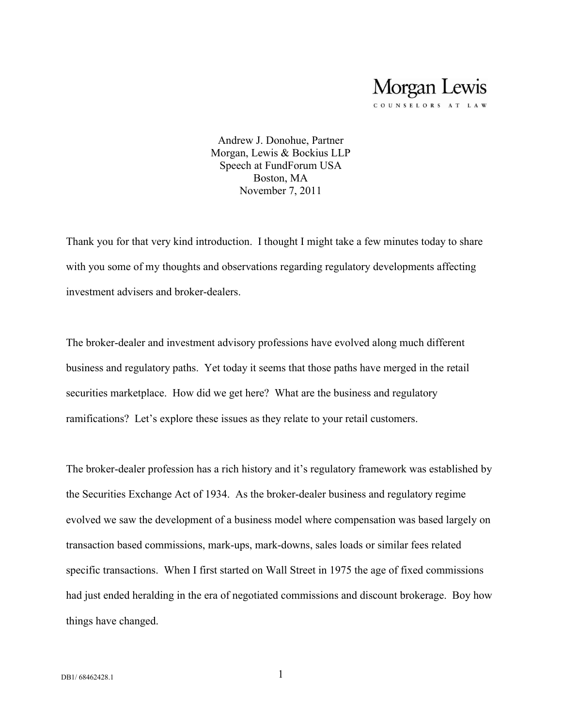COUNSELORS AT LAW

Andrew J. Donohue, Partner Morgan, Lewis & Bockius LLP Speech at FundForum USA Boston, MA November 7, 2011

Thank you for that very kind introduction. I thought I might take a few minutes today to share with you some of my thoughts and observations regarding regulatory developments affecting investment advisers and broker-dealers.

The broker-dealer and investment advisory professions have evolved along much different business and regulatory paths. Yet today it seems that those paths have merged in the retail securities marketplace. How did we get here? What are the business and regulatory ramifications? Let's explore these issues as they relate to your retail customers.

The broker-dealer profession has a rich history and it's regulatory framework was established by the Securities Exchange Act of 1934. As the broker-dealer business and regulatory regime evolved we saw the development of a business model where compensation was based largely on transaction based commissions, mark-ups, mark-downs, sales loads or similar fees related specific transactions. When I first started on Wall Street in 1975 the age of fixed commissions had just ended heralding in the era of negotiated commissions and discount brokerage. Boy how things have changed.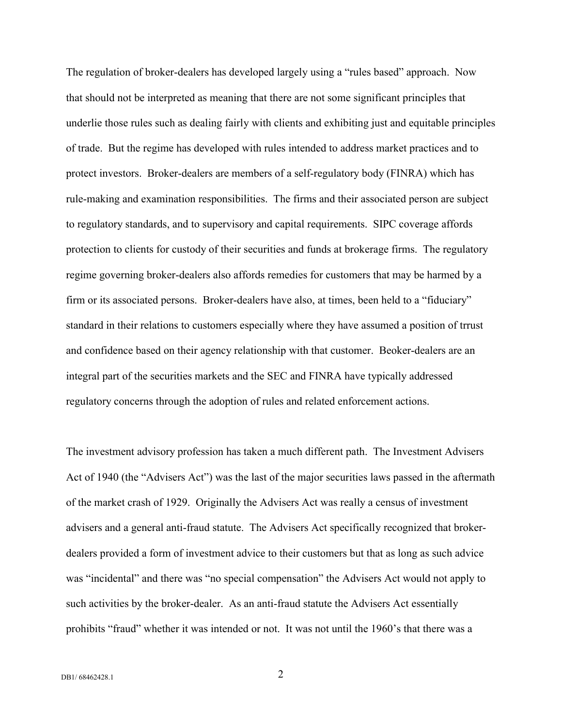The regulation of broker-dealers has developed largely using a "rules based" approach. Now that should not be interpreted as meaning that there are not some significant principles that underlie those rules such as dealing fairly with clients and exhibiting just and equitable principles of trade. But the regime has developed with rules intended to address market practices and to protect investors. Broker-dealers are members of a self-regulatory body (FINRA) which has rule-making and examination responsibilities. The firms and their associated person are subject to regulatory standards, and to supervisory and capital requirements. SIPC coverage affords protection to clients for custody of their securities and funds at brokerage firms. The regulatory regime governing broker-dealers also affords remedies for customers that may be harmed by a firm or its associated persons. Broker-dealers have also, at times, been held to a "fiduciary" standard in their relations to customers especially where they have assumed a position of trrust and confidence based on their agency relationship with that customer. Beoker-dealers are an integral part of the securities markets and the SEC and FINRA have typically addressed regulatory concerns through the adoption of rules and related enforcement actions.

The investment advisory profession has taken a much different path. The Investment Advisers Act of 1940 (the "Advisers Act") was the last of the major securities laws passed in the aftermath of the market crash of 1929. Originally the Advisers Act was really a census of investment advisers and a general anti-fraud statute. The Advisers Act specifically recognized that brokerdealers provided a form of investment advice to their customers but that as long as such advice was "incidental" and there was "no special compensation" the Advisers Act would not apply to such activities by the broker-dealer. As an anti-fraud statute the Advisers Act essentially prohibits "fraud" whether it was intended or not. It was not until the 1960's that there was a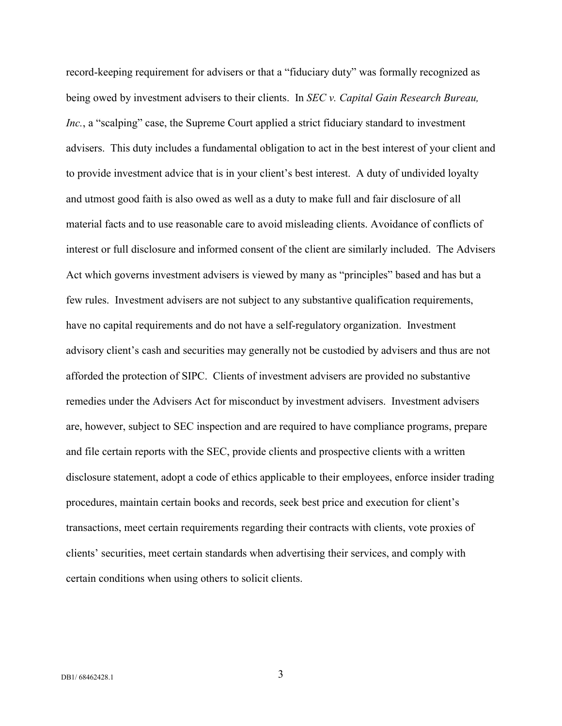record-keeping requirement for advisers or that a "fiduciary duty" was formally recognized as being owed by investment advisers to their clients. In *SEC v. Capital Gain Research Bureau, Inc.*, a "scalping" case, the Supreme Court applied a strict fiduciary standard to investment advisers. This duty includes a fundamental obligation to act in the best interest of your client and to provide investment advice that is in your client's best interest. A duty of undivided loyalty and utmost good faith is also owed as well as a duty to make full and fair disclosure of all material facts and to use reasonable care to avoid misleading clients. Avoidance of conflicts of interest or full disclosure and informed consent of the client are similarly included. The Advisers Act which governs investment advisers is viewed by many as "principles" based and has but a few rules. Investment advisers are not subject to any substantive qualification requirements, have no capital requirements and do not have a self-regulatory organization. Investment advisory client's cash and securities may generally not be custodied by advisers and thus are not afforded the protection of SIPC. Clients of investment advisers are provided no substantive remedies under the Advisers Act for misconduct by investment advisers. Investment advisers are, however, subject to SEC inspection and are required to have compliance programs, prepare and file certain reports with the SEC, provide clients and prospective clients with a written disclosure statement, adopt a code of ethics applicable to their employees, enforce insider trading procedures, maintain certain books and records, seek best price and execution for client's transactions, meet certain requirements regarding their contracts with clients, vote proxies of clients' securities, meet certain standards when advertising their services, and comply with certain conditions when using others to solicit clients.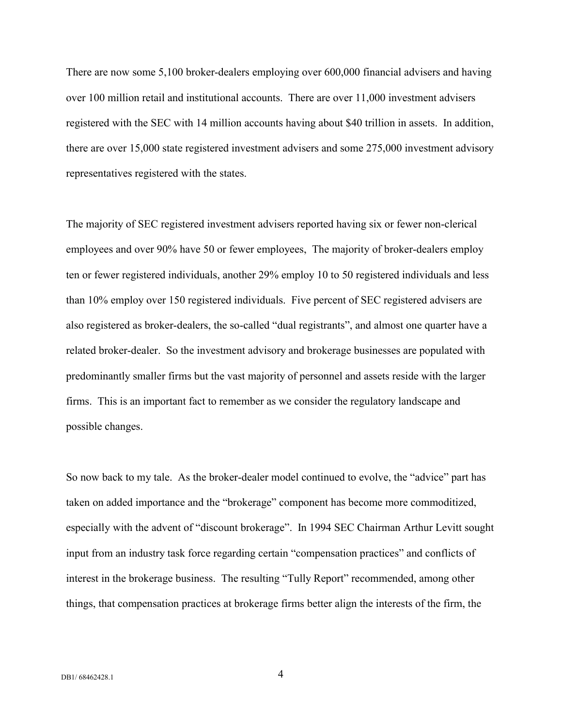There are now some 5,100 broker-dealers employing over 600,000 financial advisers and having over 100 million retail and institutional accounts. There are over 11,000 investment advisers registered with the SEC with 14 million accounts having about \$40 trillion in assets. In addition, there are over 15,000 state registered investment advisers and some 275,000 investment advisory representatives registered with the states.

The majority of SEC registered investment advisers reported having six or fewer non-clerical employees and over 90% have 50 or fewer employees, The majority of broker-dealers employ ten or fewer registered individuals, another 29% employ 10 to 50 registered individuals and less than 10% employ over 150 registered individuals. Five percent of SEC registered advisers are also registered as broker-dealers, the so-called "dual registrants", and almost one quarter have a related broker-dealer. So the investment advisory and brokerage businesses are populated with predominantly smaller firms but the vast majority of personnel and assets reside with the larger firms. This is an important fact to remember as we consider the regulatory landscape and possible changes.

So now back to my tale. As the broker-dealer model continued to evolve, the "advice" part has taken on added importance and the "brokerage" component has become more commoditized, especially with the advent of "discount brokerage". In 1994 SEC Chairman Arthur Levitt sought input from an industry task force regarding certain "compensation practices" and conflicts of interest in the brokerage business. The resulting "Tully Report" recommended, among other things, that compensation practices at brokerage firms better align the interests of the firm, the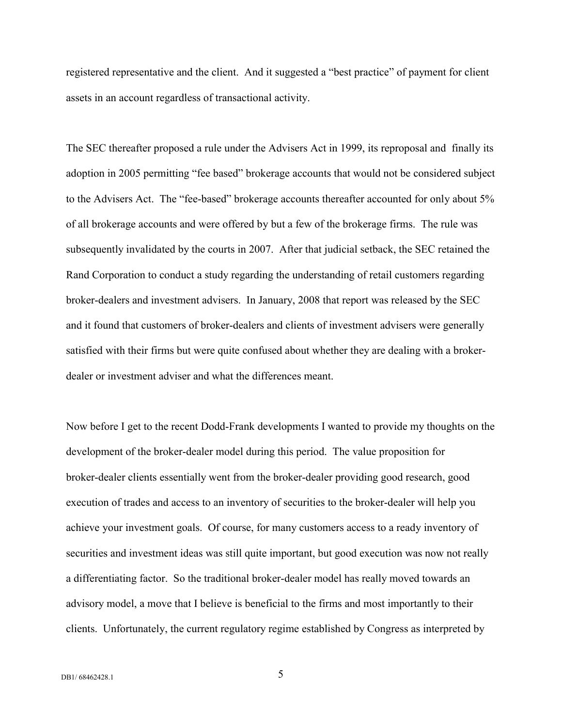registered representative and the client. And it suggested a "best practice" of payment for client assets in an account regardless of transactional activity.

The SEC thereafter proposed a rule under the Advisers Act in 1999, its reproposal and finally its adoption in 2005 permitting "fee based" brokerage accounts that would not be considered subject to the Advisers Act. The "fee-based" brokerage accounts thereafter accounted for only about 5% of all brokerage accounts and were offered by but a few of the brokerage firms. The rule was subsequently invalidated by the courts in 2007. After that judicial setback, the SEC retained the Rand Corporation to conduct a study regarding the understanding of retail customers regarding broker-dealers and investment advisers. In January, 2008 that report was released by the SEC and it found that customers of broker-dealers and clients of investment advisers were generally satisfied with their firms but were quite confused about whether they are dealing with a brokerdealer or investment adviser and what the differences meant.

Now before I get to the recent Dodd-Frank developments I wanted to provide my thoughts on the development of the broker-dealer model during this period. The value proposition for broker-dealer clients essentially went from the broker-dealer providing good research, good execution of trades and access to an inventory of securities to the broker-dealer will help you achieve your investment goals. Of course, for many customers access to a ready inventory of securities and investment ideas was still quite important, but good execution was now not really a differentiating factor. So the traditional broker-dealer model has really moved towards an advisory model, a move that I believe is beneficial to the firms and most importantly to their clients. Unfortunately, the current regulatory regime established by Congress as interpreted by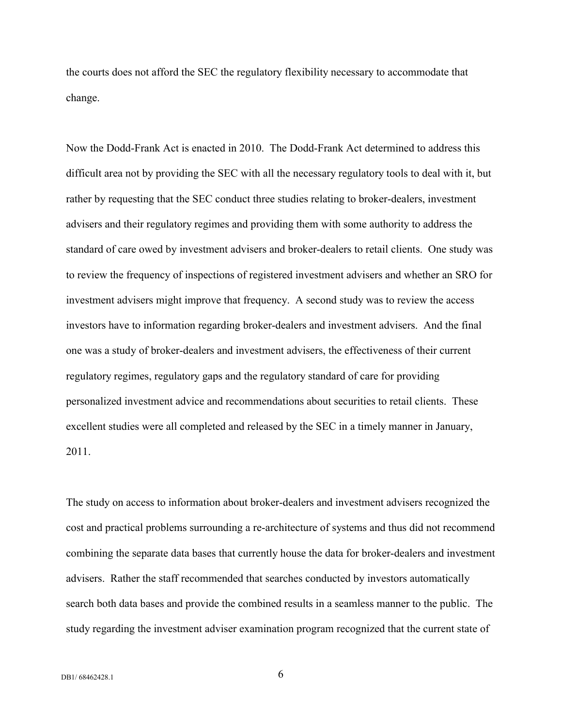the courts does not afford the SEC the regulatory flexibility necessary to accommodate that change.

Now the Dodd-Frank Act is enacted in 2010. The Dodd-Frank Act determined to address this difficult area not by providing the SEC with all the necessary regulatory tools to deal with it, but rather by requesting that the SEC conduct three studies relating to broker-dealers, investment advisers and their regulatory regimes and providing them with some authority to address the standard of care owed by investment advisers and broker-dealers to retail clients. One study was to review the frequency of inspections of registered investment advisers and whether an SRO for investment advisers might improve that frequency. A second study was to review the access investors have to information regarding broker-dealers and investment advisers. And the final one was a study of broker-dealers and investment advisers, the effectiveness of their current regulatory regimes, regulatory gaps and the regulatory standard of care for providing personalized investment advice and recommendations about securities to retail clients. These excellent studies were all completed and released by the SEC in a timely manner in January, 2011.

The study on access to information about broker-dealers and investment advisers recognized the cost and practical problems surrounding a re-architecture of systems and thus did not recommend combining the separate data bases that currently house the data for broker-dealers and investment advisers. Rather the staff recommended that searches conducted by investors automatically search both data bases and provide the combined results in a seamless manner to the public. The study regarding the investment adviser examination program recognized that the current state of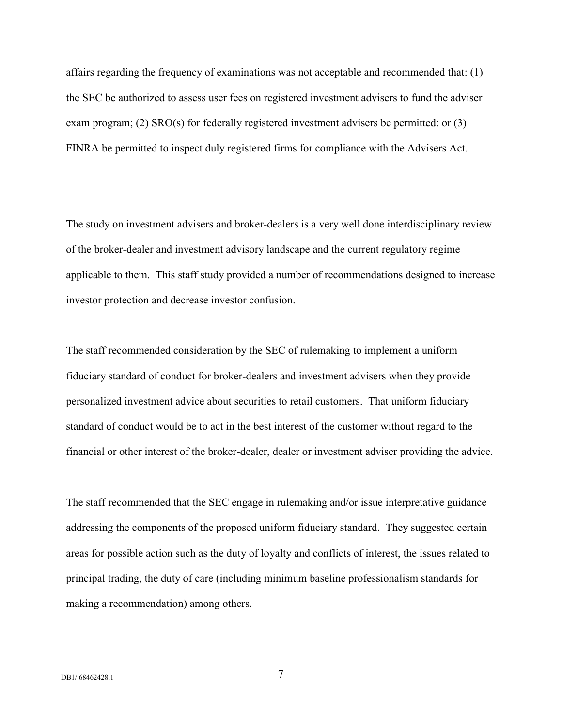affairs regarding the frequency of examinations was not acceptable and recommended that: (1) the SEC be authorized to assess user fees on registered investment advisers to fund the adviser exam program; (2)  $SRO(s)$  for federally registered investment advisers be permitted: or (3) FINRA be permitted to inspect duly registered firms for compliance with the Advisers Act.

The study on investment advisers and broker-dealers is a very well done interdisciplinary review of the broker-dealer and investment advisory landscape and the current regulatory regime applicable to them. This staff study provided a number of recommendations designed to increase investor protection and decrease investor confusion.

The staff recommended consideration by the SEC of rulemaking to implement a uniform fiduciary standard of conduct for broker-dealers and investment advisers when they provide personalized investment advice about securities to retail customers. That uniform fiduciary standard of conduct would be to act in the best interest of the customer without regard to the financial or other interest of the broker-dealer, dealer or investment adviser providing the advice.

The staff recommended that the SEC engage in rulemaking and/or issue interpretative guidance addressing the components of the proposed uniform fiduciary standard. They suggested certain areas for possible action such as the duty of loyalty and conflicts of interest, the issues related to principal trading, the duty of care (including minimum baseline professionalism standards for making a recommendation) among others.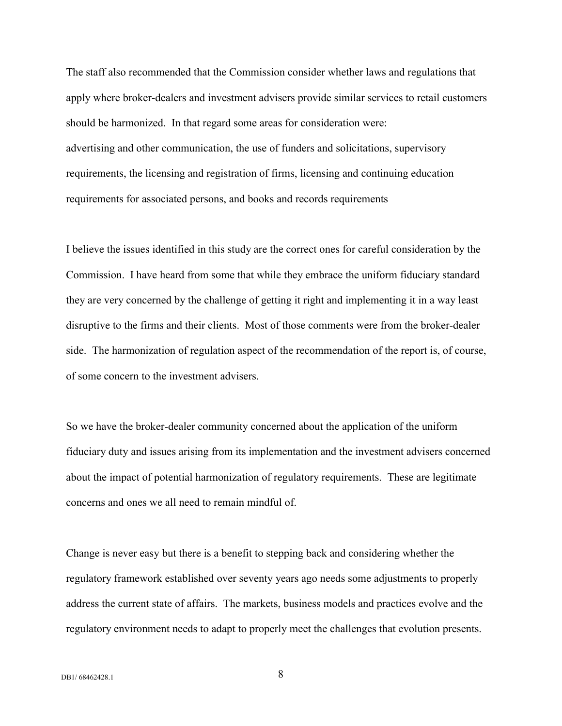The staff also recommended that the Commission consider whether laws and regulations that apply where broker-dealers and investment advisers provide similar services to retail customers should be harmonized. In that regard some areas for consideration were: advertising and other communication, the use of funders and solicitations, supervisory requirements, the licensing and registration of firms, licensing and continuing education requirements for associated persons, and books and records requirements

I believe the issues identified in this study are the correct ones for careful consideration by the Commission. I have heard from some that while they embrace the uniform fiduciary standard they are very concerned by the challenge of getting it right and implementing it in a way least disruptive to the firms and their clients. Most of those comments were from the broker-dealer side. The harmonization of regulation aspect of the recommendation of the report is, of course, of some concern to the investment advisers.

So we have the broker-dealer community concerned about the application of the uniform fiduciary duty and issues arising from its implementation and the investment advisers concerned about the impact of potential harmonization of regulatory requirements. These are legitimate concerns and ones we all need to remain mindful of.

Change is never easy but there is a benefit to stepping back and considering whether the regulatory framework established over seventy years ago needs some adjustments to properly address the current state of affairs. The markets, business models and practices evolve and the regulatory environment needs to adapt to properly meet the challenges that evolution presents.